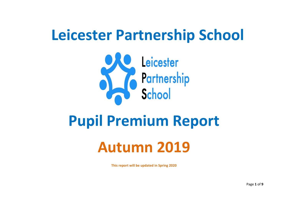# **Leicester Partnership School**



## **Pupil Premium Report**

## **Autumn 2019**

**This report will be updated in Spring 2020**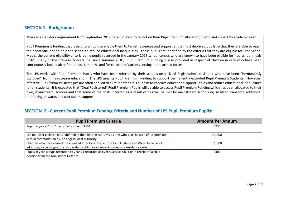#### **SECTION 1 - Background:**

There is a statutory requirement from September 2012 for all schools to report on their Pupil Premium allocation, spend and impact by academic year.

Pupil Premium is funding that is paid to schools to enable them to target resources and support at the most deprived pupils so that they are able to reach their potential and to help the school to reduce educational inequalities. These pupils are identified by the criteria that they are eligible for Free School Meals, the current eligibility criteria being pupils recorded in the January 2016 school census who are known to have been eligible for free school meals (FSM) in any of the previous 6 years (i.e. since summer 2010). Pupil Premium Funding is also provided in respect of children in care who have been continuously looked after for at least 6 months and for children of parents serving in the armed forces.

The LPS works with Pupil Premium Pupils who have been referred by their schools on a "Dual Registration" basis and who have been "Permanently Excluded" from mainstream education. The LPS uses its Pupil Premium Funding to support permanently excluded Pupil Premium Students. However, effective Pupil Premium strategies are often applied to all students as it is our aim to improve educational opportunities and reduce educational inequalities for all students. It is expected that "Dual Registered" Pupil Premium Pupils will be able to access Pupil Premium Funding which has been allocated to their own, mainstream, schools and that some of the costs incurred as a result of this will be met by mainstream schools eg. Assisted transport, additional mentoring, rewards and curriculum support.

#### **SECTION 2 - Current Pupil Premium Funding Criteria and Number of LPS Pupil Premium Pupils:**

| <b>Pupil Premium Criteria</b>                                                                                                                                                               | <b>Amount Per Annum</b> |
|---------------------------------------------------------------------------------------------------------------------------------------------------------------------------------------------|-------------------------|
| Pupils in years 7 to 11 recorded as Ever 6 FSM                                                                                                                                              | £935                    |
| Looked-after children (LAC) defined in the Children Act 1989 as one who is in the care of, or provided<br>with accommodation by, an English local authority                                 | £1.900                  |
| Children who have ceased to be looked after by a local authority in England and Wales because of<br>adoption, a special guardianship order, a child arrangements order or a residence order | £1.900                  |
| Pupils in year groups reception to year 11 recorded as Ever 5 Service Child or in receipt of a child<br>pension from the Ministry of Defence                                                | £300                    |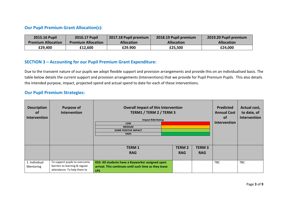#### **Our Pupil Premium Grant Allocation(s):**

| <b>2015.16 Pupil</b>      | 2016.17 Pupil             | 2017.18 Pupil premium | 2018.19 Pupil premium | 2019.20 Pupil premium |
|---------------------------|---------------------------|-----------------------|-----------------------|-----------------------|
| <b>Premium Allocation</b> | <b>Premium Allocation</b> | <b>Allocation</b>     | <b>Allocation</b>     | <b>Allocation</b>     |
| £29,400                   | £12,600                   | £29.900               | £25,500               | £24,000               |

#### **SECTION 3 – Accounting for our Pupil Premium Grant Expenditure:**

Due to the transient nature of our pupils we adopt flexible support and provision arrangements and provide this on an individualised basis. The table below details the current support and provision arrangements (Interventions) that we provide for Pupil Premium Pupils. This also details the intended purpose, impact, projected spend and actual spend to date for each of these interventions.

#### **Our Pupil Premium Strategies***:*

| <b>Description</b><br><b>of</b><br>Intervention | <b>Purpose of</b><br>Intervention                                                              | <b>Overall Impact of this Intervention</b><br>TERM1 / TERM 2 / TERM 3<br><b>Impact RAG Rating</b>                       | <b>Predicted</b><br><b>Annual Cost</b><br><b>of</b><br><b>Intervention</b> | Actual cost,<br>to date, of<br>Intervention |  |  |
|-------------------------------------------------|------------------------------------------------------------------------------------------------|-------------------------------------------------------------------------------------------------------------------------|----------------------------------------------------------------------------|---------------------------------------------|--|--|
|                                                 |                                                                                                | LOW<br><b>MEDIUM</b>                                                                                                    |                                                                            |                                             |  |  |
|                                                 |                                                                                                | <b>SOME POSITIVE IMPACT</b><br><b>HIGH</b>                                                                              |                                                                            |                                             |  |  |
|                                                 |                                                                                                |                                                                                                                         |                                                                            |                                             |  |  |
|                                                 |                                                                                                | <b>TERM1</b>                                                                                                            | <b>TERM 2</b>                                                              | <b>TERM3</b>                                |  |  |
|                                                 |                                                                                                | <b>RAG</b>                                                                                                              | <b>RAG</b>                                                                 | <b>RAG</b>                                  |  |  |
|                                                 |                                                                                                |                                                                                                                         |                                                                            |                                             |  |  |
| 1. Individual<br>Mentoring                      | To support pupils to overcome<br>barriers to learning & regular<br>attendance. To help them to | KS3: All students have a Keyworker assigned upon<br>arrival. This continues until such time as they leave<br><b>LPS</b> | <b>TBC</b>                                                                 | <b>TBC</b>                                  |  |  |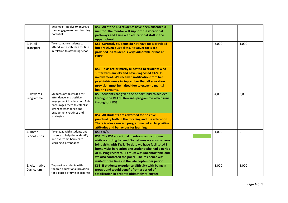|                                 | develop strategies to improve<br>their engagement and learning<br>potential                                                                                                 | KS4: All of the KS4 students have been allocated a<br>mentor. The mentor will support the vocational<br>pathways and liaise with educational staff in the<br>upper school                                                                                                                                                                                                                           |       |       |
|---------------------------------|-----------------------------------------------------------------------------------------------------------------------------------------------------------------------------|-----------------------------------------------------------------------------------------------------------------------------------------------------------------------------------------------------------------------------------------------------------------------------------------------------------------------------------------------------------------------------------------------------|-------|-------|
| 2. Pupil<br>Transport           | To encourage students to<br>attend and establish a routine<br>in relation to attending school                                                                               | KS3: Currently students do not have taxis provided<br>but are given bus tickets. However taxis are<br>provided if a student is very vulnerable or has an<br><b>EHCP</b>                                                                                                                                                                                                                             | 3,000 | 1,000 |
|                                 |                                                                                                                                                                             | KS4: Taxis are primarily allocated to students who<br>suffer with anxiety and have diagnosed CAMHS<br>involvement. We received notification from her<br>psychiatric nurse in September that all education<br>provision must be halted due to extreme mental<br>health concerns.                                                                                                                     |       |       |
| 3. Rewards<br>Programme         | Students are rewarded for<br>attendance and positive<br>engagement in education. This<br>encourages them to establish<br>stronger attendance and<br>engagement routines and | KS3: Students are given the opportunity to achieve<br>through the REACH Rewards programme which runs<br>throughout KS3                                                                                                                                                                                                                                                                              | 4,000 | 2,000 |
|                                 | strategies.                                                                                                                                                                 | KS4: All students are rewarded for positive<br>punctuality both in the morning and the afternoon.<br>There is also a reward programme linked to positive<br>attitudes and behaviour for learning.                                                                                                                                                                                                   |       |       |
| 4. Home<br><b>School Visits</b> | To engage with students and<br>parents to help them identify<br>and overcome barriers to<br>learning & attendance                                                           | <b>KS3: N/A</b><br>KS4: The KS4 vocational mentors conduct home<br>visits according to need. Sometimes we also convene<br>joint visits with EWS. To date we have facilitated 3<br>home visits in relation one student who had a period<br>of missing recently. His mum was uncontactable and<br>we also contacted the police. The residence was<br>visited three times in the late September period | 1,000 | 0     |
| 5. Alternative<br>Curriculum    | To provide students with<br>tailored educational provision<br>for a period of time in order to                                                                              | KS3: If students experience difficulty with being in<br>groups and would benefit from a period of<br>stabilisation in order to ultimately re-engage                                                                                                                                                                                                                                                 | 8,000 | 3,000 |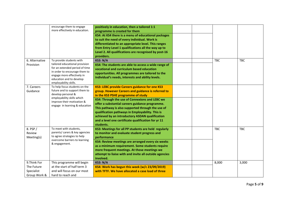|                | encourage them to engage                          | positively in education, then a tailored 1:1           |  |            |            |
|----------------|---------------------------------------------------|--------------------------------------------------------|--|------------|------------|
|                | more effectively in education.                    | programme is created for them                          |  |            |            |
|                |                                                   |                                                        |  |            |            |
|                |                                                   | KS4: At KS4 there is a menu of educational packages    |  |            |            |
|                |                                                   | to suit the need of every individual. Work is          |  |            |            |
|                |                                                   | differentiated to an appropriate level. This ranges    |  |            |            |
|                |                                                   | from Entry Level 1 qualifications all the way up to    |  |            |            |
|                |                                                   | Level 2. All qualifications are recognised by post-16  |  |            |            |
|                |                                                   | providers.                                             |  |            |            |
| 6. Alternative | To provide students with                          | <b>KS3: N/A</b>                                        |  | <b>TBC</b> | <b>TBC</b> |
| Provision      | tailored educational provision                    | KS4: The students are able to access a wide range of   |  |            |            |
|                | for an extended period of time                    | vocational and curriculum based education              |  |            |            |
|                | in order to encourage them to                     | opportunities. All programmes are tailored to the      |  |            |            |
|                | engage more effectively in                        | individual's needs, interests and ability levels.      |  |            |            |
|                | education and to develop<br>employability skills. |                                                        |  |            |            |
| 7. Careers     | To help focus students on the                     | KS3: LEBC provide Careers guidance for one KS3         |  |            |            |
|                | future and to support them to                     |                                                        |  |            |            |
| Guidance       | develop personal &                                | group. However Careers and guidance is referred to     |  |            |            |
|                | employability skills which                        | in the KS3 PSHE programme of study                     |  |            |            |
|                | improve their motivation &                        | KS4: Through the use of Connexions and LEBC we         |  |            |            |
|                | engage in learning & education                    | offer a substantial careers guidance programme.        |  |            |            |
|                |                                                   | This pathway is also supported through the use of      |  |            |            |
|                |                                                   | qualification pathways in Employability. This is       |  |            |            |
|                |                                                   | achieved by an introductory ASDAN qualification        |  |            |            |
|                |                                                   | and a level one certificate qualification for yr 11    |  |            |            |
|                |                                                   | students.                                              |  |            |            |
| 8. PSP /       | To meet with students,                            | KS3: Meetings for all PP students are held regularly   |  | <b>TBC</b> | <b>TBC</b> |
| Review         | parents/ carers & key agencies                    | to monitor and evaluate student progress and           |  |            |            |
| Meeting(s)     | to agree strategies to help                       | performance                                            |  |            |            |
|                | overcome barriers to learning                     | KS4: Review meetings are arranged every six weeks      |  |            |            |
|                | & engagement.                                     | as a minimum requirement. Some students require        |  |            |            |
|                |                                                   | more frequent meetings. At those meetings we           |  |            |            |
|                |                                                   | attempt to liaise with and invite all outside agencies |  |            |            |
|                |                                                   | involved.                                              |  |            |            |
| 9.Think For    | This programme will begin                         | <b>KS3: N/A</b>                                        |  | 8,000      | 3,000      |
| The Future     | at the start of half term 3                       | KS4: Work has begun this week (w/c 23/09/2019)         |  |            |            |
| Specialist     | and will focus on our most                        | with TFTF. We have allocated a case load of three      |  |            |            |
|                |                                                   |                                                        |  |            |            |
| Group Work &   | hard to reach and                                 |                                                        |  |            |            |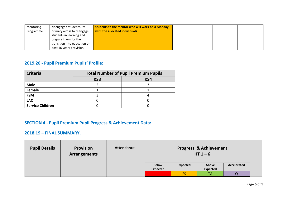| Mentoring | disengaged students. Its     | students to the mentor who will work on a Monday |  |  |
|-----------|------------------------------|--------------------------------------------------|--|--|
| Programme | primary aim is to reengage   | with the allocated individuals.                  |  |  |
|           | students in learning and     |                                                  |  |  |
|           | prepare them for the         |                                                  |  |  |
|           | transition into education or |                                                  |  |  |
|           | post 16 years provision      |                                                  |  |  |

## **2019.20 - Pupil Premium Pupils' Profile:**

| <b>Criteria</b>         | <b>Total Number of Pupil Premium Pupils</b> |     |  |  |  |  |  |  |
|-------------------------|---------------------------------------------|-----|--|--|--|--|--|--|
|                         | KS3                                         | KS4 |  |  |  |  |  |  |
| <b>Male</b>             |                                             |     |  |  |  |  |  |  |
| Female                  |                                             |     |  |  |  |  |  |  |
| <b>FSM</b>              |                                             |     |  |  |  |  |  |  |
| <b>LAC</b>              |                                             |     |  |  |  |  |  |  |
| <b>Service Children</b> |                                             |     |  |  |  |  |  |  |

## **SECTION 4 - Pupil Premium Pupil Progress & Achievement Data***:*

### **2018.19 – FINAL SUMMARY.**

| <b>Pupil Details</b> | <b>Provision</b><br><b>Arrangements</b> | <b>Attendance</b> |                                                                                               |    | <b>Progress &amp; Achievement</b><br>HT $1-6$ |  |  |  |
|----------------------|-----------------------------------------|-------------------|-----------------------------------------------------------------------------------------------|----|-----------------------------------------------|--|--|--|
|                      |                                         |                   | <b>Below</b><br><b>Expected</b><br>Accelerated<br>Above<br><b>Expected</b><br><b>Expected</b> |    |                                               |  |  |  |
|                      |                                         |                   |                                                                                               | FS | TA                                            |  |  |  |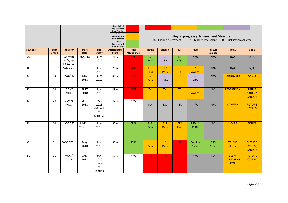|                |               |                                       |                             |                                                 | No or limited<br>Improvement<br>from Baseline<br>5-9%<br>Improvement<br>from baseline<br>$10% +$<br>Improvement<br>from Baseline |                            | Key to progress / Achievement Measure:<br>TA = Teacher Assessment<br>$Q =$ Qualification Achieved<br>FS = ForSkills Assessment |                         |                         |                                  |                                |                                               |                                                   |
|----------------|---------------|---------------------------------------|-----------------------------|-------------------------------------------------|----------------------------------------------------------------------------------------------------------------------------------|----------------------------|--------------------------------------------------------------------------------------------------------------------------------|-------------------------|-------------------------|----------------------------------|--------------------------------|-----------------------------------------------|---------------------------------------------------|
| <b>Student</b> | Year<br>Group | <b>Provision</b>                      | <b>Start</b><br><b>Date</b> | End<br>Date*                                    | <b>Attendance</b><br><b>Start</b>                                                                                                | Final<br><b>Attendance</b> | <b>Maths</b>                                                                                                                   | <b>English</b>          | <b>ICT</b>              | <b>ANO</b>                       | <b>BTECH</b><br><b>Science</b> | Voc 1                                         | Voc 2                                             |
| Α.             | 8             | As from<br>$14/1/19$ -<br>1:1 tuition | 26/2/18                     | July<br>2019                                    | 71%                                                                                                                              | 39%                        | E <sub>2</sub><br>24%                                                                                                          | L1<br>15%               | E3<br>69%               | N/A                              | N/A                            | N/A                                           | N/A                                               |
| <b>B.</b>      | 9             | 5 day voc                             |                             | July<br>2019                                    | 75%                                                                                                                              | 76%                        | EL <sub>3</sub><br>Pass                                                                                                        | EL <sub>3</sub><br>Pass | <b>TA</b>               | L1<br>Award                      | N/A                            | N/A                                           | N/A                                               |
| C.             | 10            | VOC/FS                                | Nov<br>2018                 | July<br>2019                                    | 85%                                                                                                                              | 84%                        | E3<br>Pass                                                                                                                     | L1<br>Pass              | <b>TA</b>               | L1<br>Dips                       | N/A                            | <b>Triple Skillz</b>                          | <b>AXLR8</b>                                      |
| D.             | 10            | 5DAY<br><b>VOC</b>                    | <b>SEPT</b><br>2018         | July<br>2019                                    | 49%                                                                                                                              | 40%                        | <b>TA</b>                                                                                                                      | <b>TA</b>               | <b>TA</b>               | L1<br>Award                      | N/A                            | PEDESTRIAN                                    | <b>TRIPLE</b><br>SKILLS /<br><b>LADDER</b>        |
| Ε.             | 10            | 5 DAYS<br><b>VOC</b>                  | <b>SEPT</b><br>2018         | <b>NOV</b><br>2018<br>(Moved<br>to<br>L.'shire) | 33%                                                                                                                              | N/A                        | <b>NA</b>                                                                                                                      | <b>NA</b>               | <b>NA</b>               | N/A                              | N/A                            | <b>CARWRX</b>                                 | <b>FUTURE</b><br><b>CYCLES</b>                    |
| F.             | 10            | VOC / FS                              | <b>JUNE</b><br>2018         | July<br>2019                                    | 56%                                                                                                                              | 68%                        | EL3<br>Pass                                                                                                                    | EL <sub>2</sub><br>Pass | EL <sub>2</sub><br>Pass | PSD <sub>L1</sub><br><b>CERT</b> | N/A                            | 1 CARE                                        | EDUC8                                             |
| G.             | 11            | VOC / FS                              | May<br>2018                 | July<br>2019                                    | 50%                                                                                                                              | 73%                        | L1<br>Pass                                                                                                                     | L1<br>Pass              | <b>TA</b>               | <b>Employ</b><br>L1 Cert         | <b>PSD</b><br>L1 Cert          | <b>TRIPLE</b><br><b>SKILLZ</b>                | <b>FUTURE</b><br><b>CYCLES</b> /<br><b>LADDER</b> |
| Η.             | 11            | VOC/<br><b>GCSE</b>                   | JAN<br>2018                 | <b>JAN</b><br>2019<br>moved<br>to<br>London     | 57%                                                                                                                              | N/A                        | <b>TA</b>                                                                                                                      | <b>TA</b>               | <b>TA</b>               | N/A                              | <b>NA</b>                      | <b>ESBM</b><br><b>CONSTRUCT</b><br><b>ION</b> | <b>FUTURE</b><br><b>CYCLES</b>                    |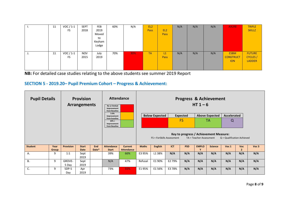|    | 11 | VOC / 1-1  | <b>SEPT</b> | <b>FEB</b> | 60% | N/A | EL <sub>2</sub> |                 | N/A | N/A | N/A | AXLR8            | <b>TRIPLE</b>   |
|----|----|------------|-------------|------------|-----|-----|-----------------|-----------------|-----|-----|-----|------------------|-----------------|
|    |    | FS.        | 2018        | 2019       |     |     | <b>Pass</b>     | EL <sub>2</sub> |     |     |     |                  | <b>SKILLZ</b>   |
|    |    |            |             | Moved      |     |     |                 | <b>Pass</b>     |     |     |     |                  |                 |
|    |    |            |             | to         |     |     |                 |                 |     |     |     |                  |                 |
|    |    |            |             | Keyham     |     |     |                 |                 |     |     |     |                  |                 |
|    |    |            |             | Lodge      |     |     |                 |                 |     |     |     |                  |                 |
|    |    |            |             |            |     |     |                 |                 |     |     |     |                  |                 |
| J. | 11 | VOC $/1-1$ | <b>NOV</b>  | July       | 70% | 30% | <b>TA</b>       | L1              | N/A | N/A | N/A | <b>ESBM</b>      | <b>FUTURE</b>   |
|    |    | FS.        | 2015        | 2019       |     |     |                 | Pass            |     |     |     | <b>CONSTRUCT</b> | <b>CYCLES</b> / |
|    |    |            |             |            |     |     |                 |                 |     |     |     | <b>ION</b>       | <b>LADDER</b>   |
|    |    |            |             |            |     |     |                 |                 |     |     |     |                  |                 |
|    |    |            |             |            |     |     |                 |                 |     |     |     |                  |                 |

**NB:** For detailed case studies relating to the above students see summer 2019 Report

#### **SECTION 5 - 2019.20– Pupil Premium Cohort – Progress & Achievement:**

| <b>Pupil Details</b> |                      |                  | <b>Provision</b><br><b>Arrangements</b> |                                                          | No or limited<br>Improvement<br>from Baseline | <b>Attendance</b>                   |                                                                                                                                |                |                                          |            | HT $1-6$     | <b>Progress &amp; Achievement</b> |                  |                       |       |
|----------------------|----------------------|------------------|-----------------------------------------|----------------------------------------------------------|-----------------------------------------------|-------------------------------------|--------------------------------------------------------------------------------------------------------------------------------|----------------|------------------------------------------|------------|--------------|-----------------------------------|------------------|-----------------------|-------|
|                      |                      |                  |                                         |                                                          | $5-9%$<br>Improvement                         |                                     |                                                                                                                                |                | <b>Below Expected</b><br><b>Expected</b> |            |              | <b>Above Expected</b>             | Accelerated      |                       |       |
|                      |                      |                  |                                         | from baseline<br>$10% +$<br>Improvement<br>from Baseline |                                               |                                     |                                                                                                                                |                | <b>FS</b>                                |            | TА           | $\Omega$                          |                  |                       |       |
|                      |                      |                  |                                         |                                                          |                                               |                                     | Key to progress / Achievement Measure:<br>FS = ForSkills Assessment<br>TA = Teacher Assessment<br>$Q =$ Qualification Achieved |                |                                          |            |              |                                   |                  |                       |       |
| <b>Student</b>       | Year<br><b>Group</b> | <b>Provision</b> | <b>Start</b><br>Date                    | End<br>Date*                                             | <b>Attendance</b><br><b>Start</b>             | <b>Current</b><br><b>Attendance</b> | <b>Maths</b>                                                                                                                   | <b>English</b> | <b>ICT</b>                               | <b>PSD</b> | <b>EMPLO</b> | <b>Science</b>                    | Voc <sub>1</sub> | Voc<br>$\overline{2}$ | Voc 3 |
| A.                   | 9                    | 1:1              | Sept<br>2019                            |                                                          | 39%                                           | 66%                                 | E3 95%                                                                                                                         | L1 38%         | N/A                                      | N/A        | N/A          | N/A                               | N/A              | N/A                   | N/A   |
| <b>B.</b>            | 9                    | GROVE-<br>5 Day  | Sept<br>2019                            |                                                          | N/A                                           | 47%                                 | Refusal                                                                                                                        | E1 90%         | E2 79%                                   | N/A        | N/A          | N/A                               | N/A              | N/A                   | N/A   |
| C.                   | 9                    | 5DP-5<br>Day     | Apr<br>2019                             |                                                          | 73%                                           | 55%                                 | E195%                                                                                                                          | E1 56%         | E3 78%                                   | N/A        | N/A          | N/A                               | N/A              | N/A                   | N/A   |